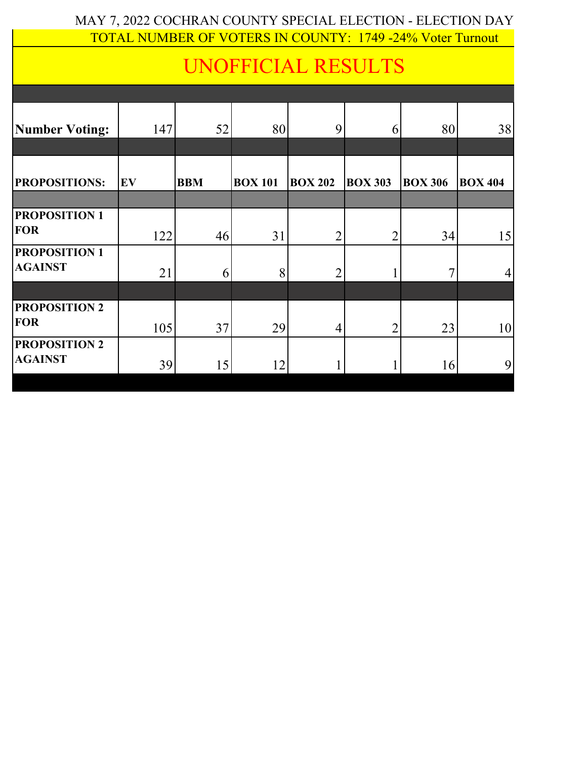## MAY 7, 2022 COCHRAN COUNTY SPECIAL ELECTION - ELECTION DAY TOTAL NUMBER OF VOTERS IN COUNTY: 1749 -24% Voter Turnout

## UNOFFICIAL RESULTS

| <b>Number Voting:</b>                  | 147 | 52         | 80             | 9              | 6              | 80             | 38             |
|----------------------------------------|-----|------------|----------------|----------------|----------------|----------------|----------------|
|                                        |     |            |                |                |                |                |                |
| PROPOSITIONS:                          | EV  | <b>BBM</b> | <b>BOX 101</b> | <b>BOX 202</b> | <b>BOX 303</b> | <b>BOX 306</b> | <b>BOX 404</b> |
|                                        |     |            |                |                |                |                |                |
| <b>PROPOSITION 1</b><br><b>FOR</b>     | 122 | 46         | 31             | $\overline{2}$ | $\overline{2}$ | 34             | 15             |
| <b>PROPOSITION 1</b><br><b>AGAINST</b> | 21  | 6          | 8              | $\overline{2}$ |                |                | 4              |
|                                        |     |            |                |                |                |                |                |
| <b>PROPOSITION 2</b><br><b>FOR</b>     | 105 | 37         | 29             | 4              | $\overline{2}$ | 23             | 10             |
| <b>PROPOSITION 2</b><br><b>AGAINST</b> | 39  | 15         | 12             |                |                | 16             | 9              |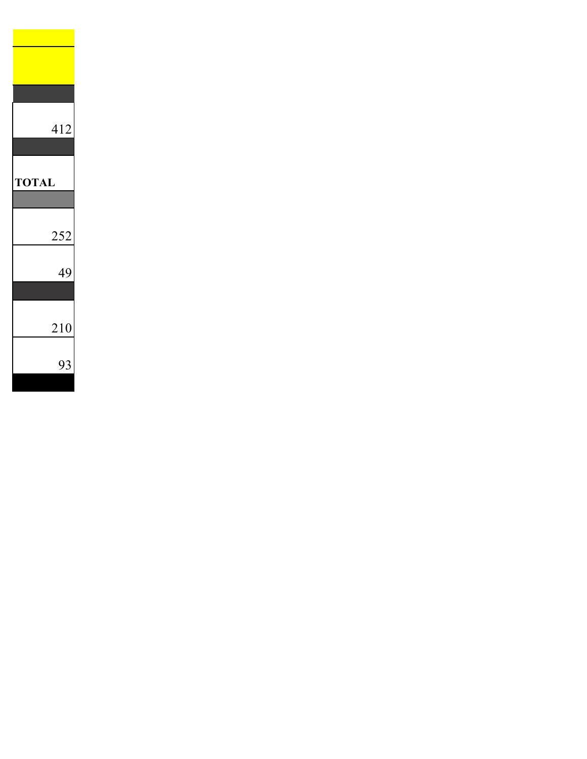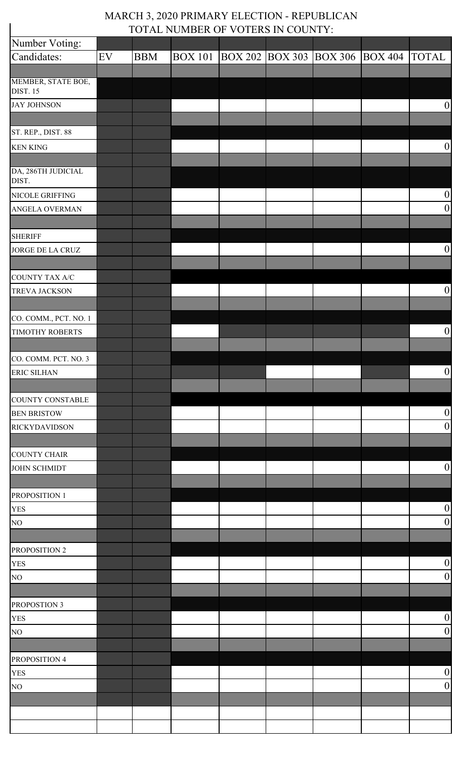## MARCH 3, 2020 PRIMARY ELECTION - REPUBLICAN TOTAL NUMBER OF VOTERS IN COUNTY:

 $\overline{\phantom{a}}$ 

| Number Voting:                        |    |            |                |                                 |  |                                      |
|---------------------------------------|----|------------|----------------|---------------------------------|--|--------------------------------------|
| Candidates:                           | EV | <b>BBM</b> | <b>BOX 101</b> | BOX 202 BOX 303 BOX 306 BOX 404 |  | <b>TOTAL</b>                         |
|                                       |    |            |                |                                 |  |                                      |
| MEMBER, STATE BOE,<br><b>DIST. 15</b> |    |            |                |                                 |  |                                      |
| <b>JAY JOHNSON</b>                    |    |            |                |                                 |  | $\boldsymbol{0}$                     |
|                                       |    |            |                |                                 |  |                                      |
| ST. REP., DIST. 88                    |    |            |                |                                 |  |                                      |
| <b>KEN KING</b>                       |    |            |                |                                 |  | $\boldsymbol{0}$                     |
|                                       |    |            |                |                                 |  |                                      |
| DA, 286TH JUDICIAL<br>DIST.           |    |            |                |                                 |  |                                      |
| NICOLE GRIFFING                       |    |            |                |                                 |  | $\boldsymbol{0}$                     |
| ANGELA OVERMAN                        |    |            |                |                                 |  | $\boldsymbol{0}$                     |
|                                       |    |            |                |                                 |  |                                      |
| <b>SHERIFF</b>                        |    |            |                |                                 |  |                                      |
| JORGE DE LA CRUZ                      |    |            |                |                                 |  | $\boldsymbol{0}$                     |
| COUNTY TAX A/C                        |    |            |                |                                 |  |                                      |
| <b>TREVA JACKSON</b>                  |    |            |                |                                 |  | $\boldsymbol{0}$                     |
|                                       |    |            |                |                                 |  |                                      |
| CO. COMM., PCT. NO. 1                 |    |            |                |                                 |  |                                      |
| <b>TIMOTHY ROBERTS</b>                |    |            |                |                                 |  | $\boldsymbol{0}$                     |
|                                       |    |            |                |                                 |  |                                      |
| CO. COMM. PCT. NO. 3                  |    |            |                |                                 |  |                                      |
| <b>ERIC SILHAN</b>                    |    |            |                |                                 |  | $\boldsymbol{0}$                     |
|                                       |    |            |                |                                 |  |                                      |
| <b>COUNTY CONSTABLE</b>               |    |            |                |                                 |  |                                      |
| <b>BEN BRISTOW</b>                    |    |            |                |                                 |  | $\boldsymbol{0}$                     |
| <b>RICKYDAVIDSON</b>                  |    |            |                |                                 |  | $\boldsymbol{0}$                     |
|                                       |    |            |                |                                 |  |                                      |
| <b>COUNTY CHAIR</b>                   |    |            |                |                                 |  |                                      |
| <b>JOHN SCHMIDT</b>                   |    |            |                |                                 |  | $\boldsymbol{0}$                     |
|                                       |    |            |                |                                 |  |                                      |
| PROPOSITION 1                         |    |            |                |                                 |  |                                      |
| <b>YES</b>                            |    |            |                |                                 |  | $\boldsymbol{0}$                     |
| NO                                    |    |            |                |                                 |  | $\boldsymbol{0}$                     |
|                                       |    |            |                |                                 |  |                                      |
| PROPOSITION 2                         |    |            |                |                                 |  |                                      |
| <b>YES</b>                            |    |            |                |                                 |  | $\boldsymbol{0}$<br>$\boldsymbol{0}$ |
| NO                                    |    |            |                |                                 |  |                                      |
| PROPOSTION 3                          |    |            |                |                                 |  |                                      |
| <b>YES</b>                            |    |            |                |                                 |  | $\boldsymbol{0}$                     |
| NO                                    |    |            |                |                                 |  | $\boldsymbol{0}$                     |
|                                       |    |            |                |                                 |  |                                      |
| PROPOSITION 4                         |    |            |                |                                 |  |                                      |
| <b>YES</b>                            |    |            |                |                                 |  | $\boldsymbol{0}$                     |
| NO                                    |    |            |                |                                 |  | $\boldsymbol{0}$                     |
|                                       |    |            |                |                                 |  |                                      |
|                                       |    |            |                |                                 |  |                                      |
|                                       |    |            |                |                                 |  |                                      |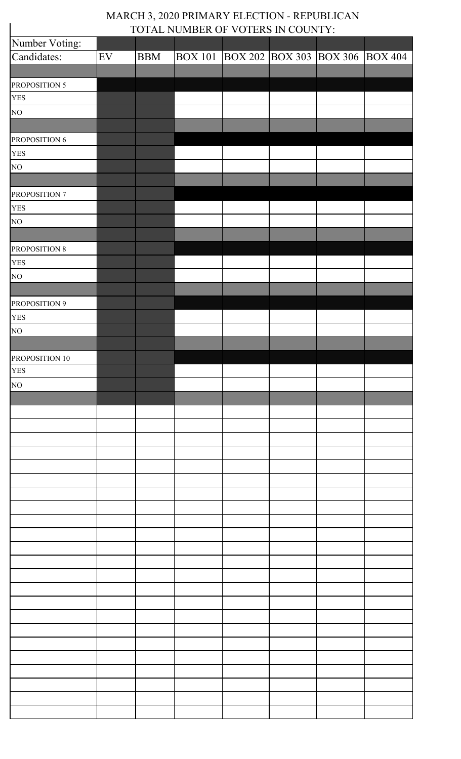## MARCH 3, 2020 PRIMARY ELECTION - REPUBLICAN TOTAL NUMBER OF VOTERS IN COUNTY:

| TOTAL NUMBER OF VOTERS IN COUNTY: |            |            |                |  |  |                                 |  |  |  |
|-----------------------------------|------------|------------|----------------|--|--|---------------------------------|--|--|--|
| Number Voting:                    |            |            |                |  |  |                                 |  |  |  |
| Candidates:                       | ${\rm EV}$ | <b>BBM</b> | <b>BOX 101</b> |  |  | BOX 202 BOX 303 BOX 306 BOX 404 |  |  |  |
|                                   |            |            |                |  |  |                                 |  |  |  |
| PROPOSITION 5                     |            |            |                |  |  |                                 |  |  |  |
| <b>YES</b>                        |            |            |                |  |  |                                 |  |  |  |
| NO <sub>1</sub>                   |            |            |                |  |  |                                 |  |  |  |
|                                   |            |            |                |  |  |                                 |  |  |  |
| PROPOSITION 6                     |            |            |                |  |  |                                 |  |  |  |
| <b>YES</b>                        |            |            |                |  |  |                                 |  |  |  |
| NO                                |            |            |                |  |  |                                 |  |  |  |
|                                   |            |            |                |  |  |                                 |  |  |  |
| PROPOSITION 7                     |            |            |                |  |  |                                 |  |  |  |
| <b>YES</b>                        |            |            |                |  |  |                                 |  |  |  |
| NO                                |            |            |                |  |  |                                 |  |  |  |
|                                   |            |            |                |  |  |                                 |  |  |  |
| PROPOSITION 8                     |            |            |                |  |  |                                 |  |  |  |
| <b>YES</b>                        |            |            |                |  |  |                                 |  |  |  |
| NO                                |            |            |                |  |  |                                 |  |  |  |
|                                   |            |            |                |  |  |                                 |  |  |  |
| PROPOSITION 9                     |            |            |                |  |  |                                 |  |  |  |
| <b>YES</b>                        |            |            |                |  |  |                                 |  |  |  |
| NO                                |            |            |                |  |  |                                 |  |  |  |
|                                   |            |            |                |  |  |                                 |  |  |  |
|                                   |            |            |                |  |  |                                 |  |  |  |
| PROPOSITION 10<br><b>YES</b>      |            |            |                |  |  |                                 |  |  |  |
|                                   |            |            |                |  |  |                                 |  |  |  |
| NO                                |            |            |                |  |  |                                 |  |  |  |
|                                   |            |            |                |  |  |                                 |  |  |  |
|                                   |            |            |                |  |  |                                 |  |  |  |
|                                   |            |            |                |  |  |                                 |  |  |  |
|                                   |            |            |                |  |  |                                 |  |  |  |
|                                   |            |            |                |  |  |                                 |  |  |  |
|                                   |            |            |                |  |  |                                 |  |  |  |
|                                   |            |            |                |  |  |                                 |  |  |  |
|                                   |            |            |                |  |  |                                 |  |  |  |
|                                   |            |            |                |  |  |                                 |  |  |  |
|                                   |            |            |                |  |  |                                 |  |  |  |
|                                   |            |            |                |  |  |                                 |  |  |  |
|                                   |            |            |                |  |  |                                 |  |  |  |
|                                   |            |            |                |  |  |                                 |  |  |  |
|                                   |            |            |                |  |  |                                 |  |  |  |
|                                   |            |            |                |  |  |                                 |  |  |  |
|                                   |            |            |                |  |  |                                 |  |  |  |
|                                   |            |            |                |  |  |                                 |  |  |  |
|                                   |            |            |                |  |  |                                 |  |  |  |
|                                   |            |            |                |  |  |                                 |  |  |  |
|                                   |            |            |                |  |  |                                 |  |  |  |
|                                   |            |            |                |  |  |                                 |  |  |  |
|                                   |            |            |                |  |  |                                 |  |  |  |
|                                   |            |            |                |  |  |                                 |  |  |  |
|                                   |            |            |                |  |  |                                 |  |  |  |